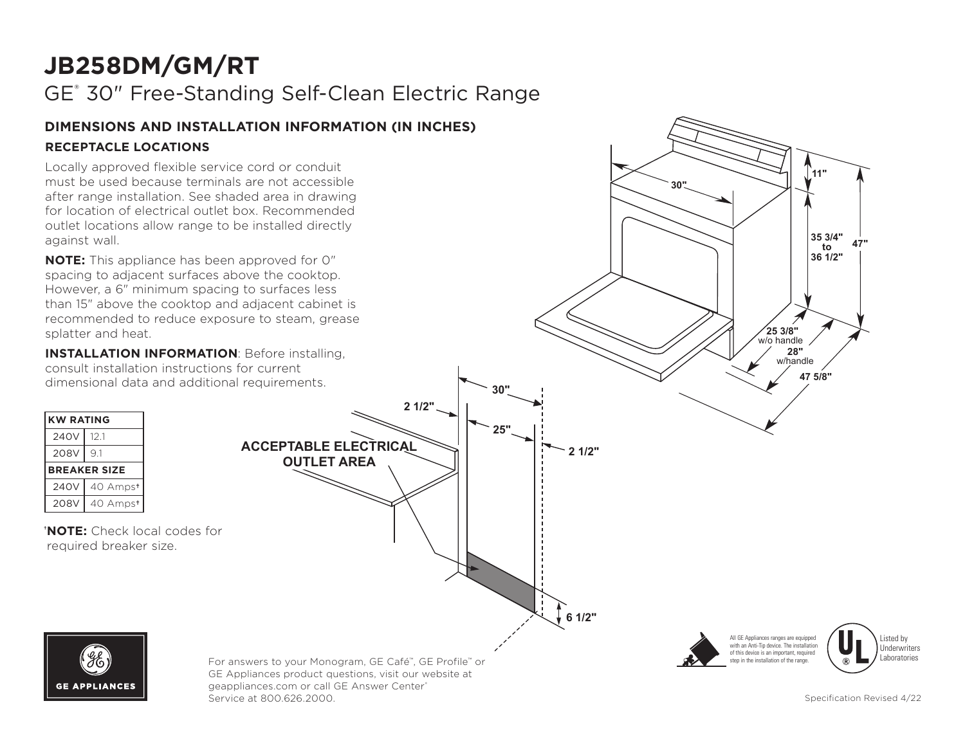# **JB258DM/GM/RT**

GE® 30" Free-Standing Self-Clean Electric Range

#### **DIMENSIONS AND INSTALLATION INFORMATION (IN INCHES) RECEPTACLE LOCATIONS**

Locally approved flexible service cord or conduit must be used because terminals are not accessible after range installation. See shaded area in drawing for location of electrical outlet box. Recommended outlet locations allow range to be installed directly against wall.

**NOTE:** This appliance has been approved for 0" spacing to adjacent surfaces above the cooktop. than 15" above the cooktop and adjacent cabinet is recommended to reduce exposure to steam, grease splatter and heat.

**INSTALLATION INFORMATION**: Before installing, consult installation instructions for current dimensional data and additional requirements.

| <b>KW RATING</b>    |          |
|---------------------|----------|
| 240V                | 12.1     |
| 208V                | 9.1      |
| <b>BREAKER SIZE</b> |          |
|                     |          |
| 240V                | 40 Ampst |

**† NOTE:** Check local codes for required breaker size.





GE Appliances product questions, visit our website at geappliances.com or call GE Answer Center® **11"** Service at 800.626.2000. Specification Revised 4/22 **30"**